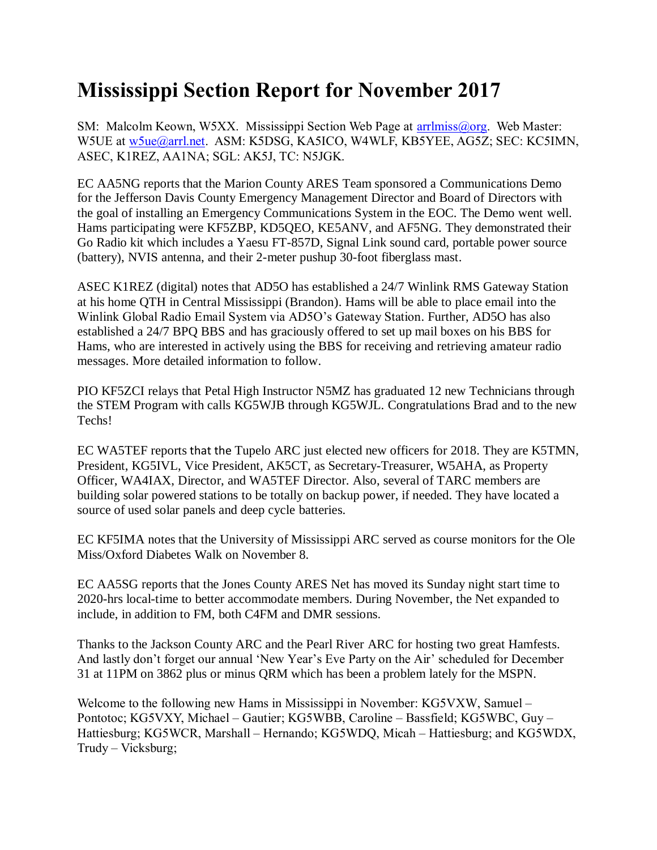## **Mississippi Section Report for November 2017**

SM: Malcolm Keown, W5XX. Mississippi Section Web Page at [arrlmiss@org.](mailto:arrlmiss@org) Web Master: W5UE at [w5ue@arrl.net.](mailto:w5ue@arrl.net) ASM: K5DSG, KA5ICO, W4WLF, KB5YEE, AG5Z; SEC: KC5IMN, ASEC, K1REZ, AA1NA; SGL: AK5J, TC: N5JGK.

EC AA5NG reports that the Marion County ARES Team sponsored a Communications Demo for the Jefferson Davis County Emergency Management Director and Board of Directors with the goal of installing an Emergency Communications System in the EOC. The Demo went well. Hams participating were KF5ZBP, KD5QEO, KE5ANV, and AF5NG. They demonstrated their Go Radio kit which includes a Yaesu FT-857D, Signal Link sound card, portable power source (battery), NVIS antenna, and their 2-meter pushup 30-foot fiberglass mast.

ASEC K1REZ (digital) notes that AD5O has established a 24/7 Winlink RMS Gateway Station at his home QTH in Central Mississippi (Brandon). Hams will be able to place email into the Winlink Global Radio Email System via AD5O's Gateway Station. Further, AD5O has also established a 24/7 BPQ BBS and has graciously offered to set up mail boxes on his BBS for Hams, who are interested in actively using the BBS for receiving and retrieving amateur radio messages. More detailed information to follow.

PIO KF5ZCI relays that Petal High Instructor N5MZ has graduated 12 new Technicians through the STEM Program with calls KG5WJB through KG5WJL. Congratulations Brad and to the new Techs!

EC WA5TEF reports that the Tupelo ARC just elected new officers for 2018. They are K5TMN, President, KG5IVL, Vice President, AK5CT, as Secretary-Treasurer, W5AHA, as Property Officer, WA4IAX, Director, and WA5TEF Director. Also, several of TARC members are building solar powered stations to be totally on backup power, if needed. They have located a source of used solar panels and deep cycle batteries.

EC KF5IMA notes that the University of Mississippi ARC served as course monitors for the Ole Miss/Oxford Diabetes Walk on November 8.

EC AA5SG reports that the Jones County ARES Net has moved its Sunday night start time to 2020-hrs local-time to better accommodate members. During November, the Net expanded to include, in addition to FM, both C4FM and DMR sessions.

Thanks to the Jackson County ARC and the Pearl River ARC for hosting two great Hamfests. And lastly don't forget our annual 'New Year's Eve Party on the Air' scheduled for December 31 at 11PM on 3862 plus or minus QRM which has been a problem lately for the MSPN.

Welcome to the following new Hams in Mississippi in November: KG5VXW, Samuel – Pontotoc; KG5VXY, Michael – Gautier; KG5WBB, Caroline – Bassfield; KG5WBC, Guy – Hattiesburg; KG5WCR, Marshall – Hernando; KG5WDQ, Micah – Hattiesburg; and KG5WDX, Trudy – Vicksburg;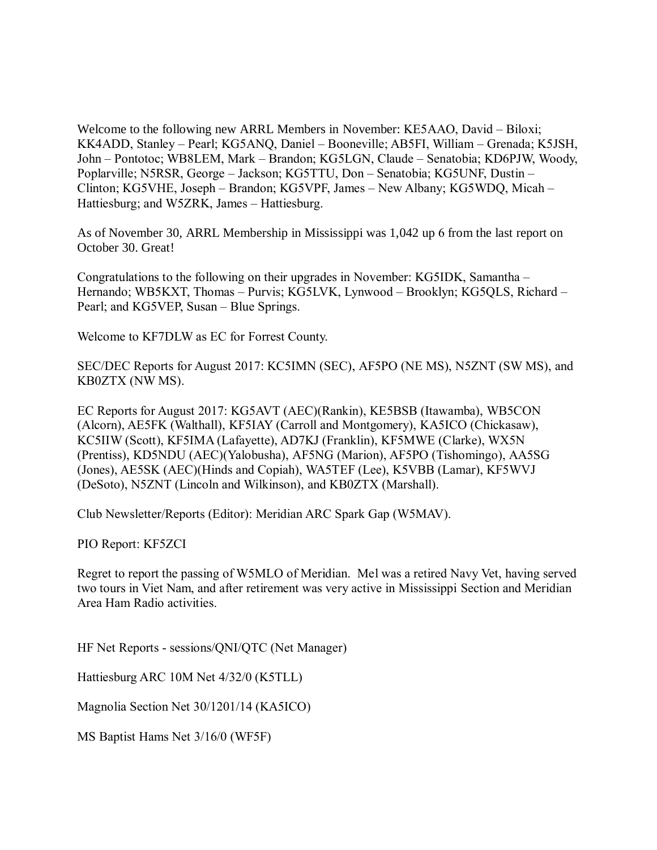Welcome to the following new ARRL Members in November: KE5AAO, David – Biloxi; KK4ADD, Stanley – Pearl; KG5ANQ, Daniel – Booneville; AB5FI, William – Grenada; K5JSH, John – Pontotoc; WB8LEM, Mark – Brandon; KG5LGN, Claude – Senatobia; KD6PJW, Woody, Poplarville; N5RSR, George – Jackson; KG5TTU, Don – Senatobia; KG5UNF, Dustin – Clinton; KG5VHE, Joseph – Brandon; KG5VPF, James – New Albany; KG5WDQ, Micah – Hattiesburg; and W5ZRK, James – Hattiesburg.

As of November 30, ARRL Membership in Mississippi was 1,042 up 6 from the last report on October 30. Great!

Congratulations to the following on their upgrades in November: KG5IDK, Samantha – Hernando; WB5KXT, Thomas – Purvis; KG5LVK, Lynwood – Brooklyn; KG5QLS, Richard – Pearl; and KG5VEP, Susan – Blue Springs.

Welcome to KF7DLW as EC for Forrest County.

SEC/DEC Reports for August 2017: KC5IMN (SEC), AF5PO (NE MS), N5ZNT (SW MS), and KB0ZTX (NW MS).

EC Reports for August 2017: KG5AVT (AEC)(Rankin), KE5BSB (Itawamba), WB5CON (Alcorn), AE5FK (Walthall), KF5IAY (Carroll and Montgomery), KA5ICO (Chickasaw), KC5IIW (Scott), KF5IMA (Lafayette), AD7KJ (Franklin), KF5MWE (Clarke), WX5N (Prentiss), KD5NDU (AEC)(Yalobusha), AF5NG (Marion), AF5PO (Tishomingo), AA5SG (Jones), AE5SK (AEC)(Hinds and Copiah), WA5TEF (Lee), K5VBB (Lamar), KF5WVJ (DeSoto), N5ZNT (Lincoln and Wilkinson), and KB0ZTX (Marshall).

Club Newsletter/Reports (Editor): Meridian ARC Spark Gap (W5MAV).

PIO Report: KF5ZCI

Regret to report the passing of W5MLO of Meridian. Mel was a retired Navy Vet, having served two tours in Viet Nam, and after retirement was very active in Mississippi Section and Meridian Area Ham Radio activities.

HF Net Reports - sessions/QNI/QTC (Net Manager)

Hattiesburg ARC 10M Net 4/32/0 (K5TLL)

Magnolia Section Net 30/1201/14 (KA5ICO)

MS Baptist Hams Net 3/16/0 (WF5F)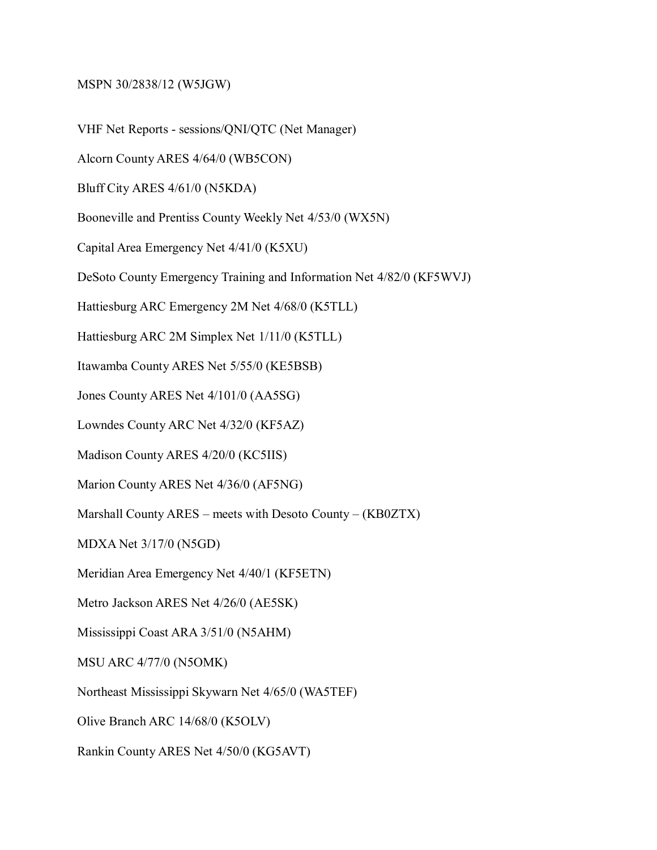## MSPN 30/2838/12 (W5JGW)

VHF Net Reports - sessions/QNI/QTC (Net Manager)

Alcorn County ARES 4/64/0 (WB5CON)

Bluff City ARES 4/61/0 (N5KDA)

Booneville and Prentiss County Weekly Net 4/53/0 (WX5N)

Capital Area Emergency Net 4/41/0 (K5XU)

DeSoto County Emergency Training and Information Net 4/82/0 (KF5WVJ)

Hattiesburg ARC Emergency 2M Net 4/68/0 (K5TLL)

Hattiesburg ARC 2M Simplex Net 1/11/0 (K5TLL)

Itawamba County ARES Net 5/55/0 (KE5BSB)

Jones County ARES Net 4/101/0 (AA5SG)

Lowndes County ARC Net 4/32/0 (KF5AZ)

Madison County ARES 4/20/0 (KC5IIS)

Marion County ARES Net 4/36/0 (AF5NG)

Marshall County ARES – meets with Desoto County – (KB0ZTX)

MDXA Net 3/17/0 (N5GD)

Meridian Area Emergency Net 4/40/1 (KF5ETN)

Metro Jackson ARES Net 4/26/0 (AE5SK)

Mississippi Coast ARA 3/51/0 (N5AHM)

MSU ARC 4/77/0 (N5OMK)

Northeast Mississippi Skywarn Net 4/65/0 (WA5TEF)

Olive Branch ARC 14/68/0 (K5OLV)

Rankin County ARES Net 4/50/0 (KG5AVT)